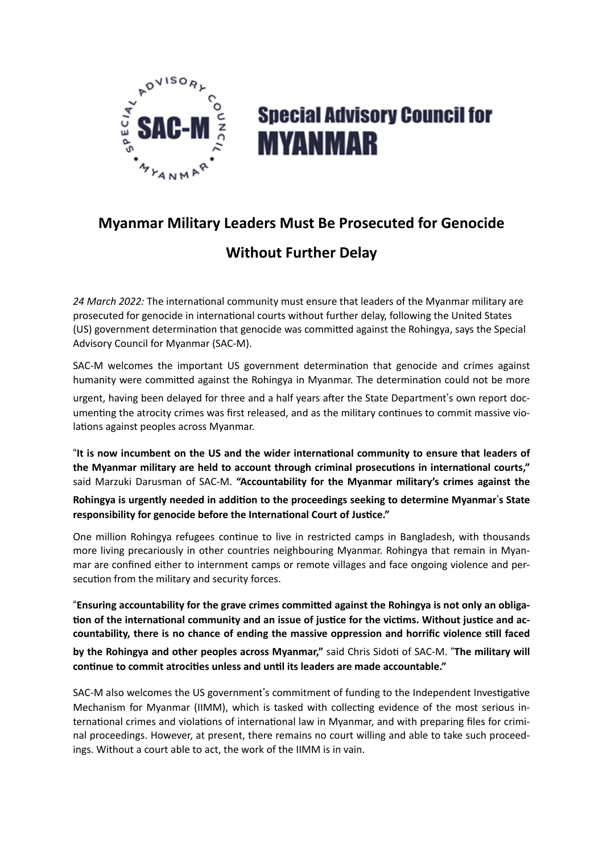

## **Special Advisory Council for MYANMAR**

## **Myanmar Military Leaders Must Be Prosecuted for Genocide**

## **Without Further Delay**

*24 March 2022:* The international community must ensure that leaders of the Myanmar military are prosecuted for genocide in international courts without further delay, following the United States (US) government determination that genocide was committed against the Rohingya, says the Special Advisory Council for Myanmar (SAC-M).

SAC-M welcomes the important US government determination that genocide and crimes against humanity were committed against the Rohingya in Myanmar. The determination could not be more

urgent, having been delayed for three and a half years after the State Department's own report documenting the atrocity crimes was first released, and as the military continues to commit massive violations against peoples across Myanmar.

"**It is now incumbent on the US and the wider international community to ensure that leaders of the Myanmar military are held to account through criminal prosecutions in international courts,"**  said Marzuki Darusman of SAC-M. **"Accountability for the Myanmar military's crimes against the** 

**Rohingya is urgently needed in addition to the proceedings seeking to determine Myanmar's State responsibility for genocide before the International Court of Justice."**

One million Rohingya refugees continue to live in restricted camps in Bangladesh, with thousands more living precariously in other countries neighbouring Myanmar. Rohingya that remain in Myanmar are confined either to internment camps or remote villages and face ongoing violence and persecution from the military and security forces.

"**Ensuring accountability for the grave crimes committed against the Rohingya is not only an obliga tion of the international community and an issue of justice for the victims. Without justice and accountability, there is no chance of ending the massive oppression and horrific violence still faced** 

**by the Rohingya and other peoples across Myanmar,"** said Chris Sidoti of SAC-M. "**The military will continue to commit atrocities unless and until its leaders are made accountable."**

SAC-M also welcomes the US government's commitment of funding to the Independent Investigative Mechanism for Myanmar (IIMM), which is tasked with collecting evidence of the most serious international crimes and violations of international law in Myanmar, and with preparing files for criminal proceedings. However, at present, there remains no court willing and able to take such proceedings. Without a court able to act, the work of the IIMM is in vain.